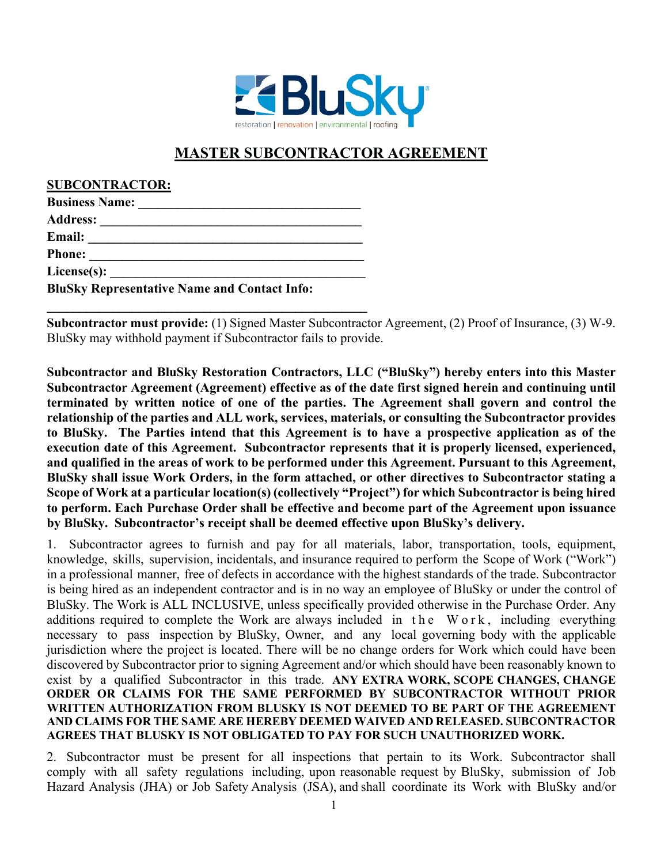

## **MASTER SUBCONTRACTOR AGREEMENT**

**SUBCONTRACTOR:**

| <b>Business Name:</b>                               |  |
|-----------------------------------------------------|--|
| <b>Address:</b>                                     |  |
| <b>Email:</b>                                       |  |
| <b>Phone:</b>                                       |  |
| License(s): $\qquad \qquad$                         |  |
| <b>BluSky Representative Name and Contact Info:</b> |  |

**\_\_\_\_\_\_\_\_\_\_\_\_\_\_\_\_\_\_\_\_\_\_\_\_\_\_\_\_\_\_\_\_\_\_\_\_\_\_\_\_\_\_\_\_\_\_\_\_\_** 

**Subcontractor must provide:** (1) Signed Master Subcontractor Agreement, (2) Proof of Insurance, (3) W-9. BluSky may withhold payment if Subcontractor fails to provide.

**Subcontractor and BluSky Restoration Contractors, LLC ("BluSky") hereby enters into this Master Subcontractor Agreement (Agreement) effective as of the date first signed herein and continuing until terminated by written notice of one of the parties. The Agreement shall govern and control the relationship of the parties and ALL work, services, materials, or consulting the Subcontractor provides to BluSky. The Parties intend that this Agreement is to have a prospective application as of the execution date of this Agreement. Subcontractor represents that it is properly licensed, experienced, and qualified in the areas of work to be performed under this Agreement. Pursuant to this Agreement, BluSky shall issue Work Orders, in the form attached, or other directives to Subcontractor stating a Scope of Work at a particular location(s) (collectively "Project") for which Subcontractor is being hired to perform. Each Purchase Order shall be effective and become part of the Agreement upon issuance by BluSky. Subcontractor's receipt shall be deemed effective upon BluSky's delivery.** 

1. Subcontractor agrees to furnish and pay for all materials, labor, transportation, tools, equipment, knowledge, skills, supervision, incidentals, and insurance required to perform the Scope of Work ("Work") in a professional manner, free of defects in accordance with the highest standards of the trade. Subcontractor is being hired as an independent contractor and is in no way an employee of BluSky or under the control of BluSky. The Work is ALL INCLUSIVE, unless specifically provided otherwise in the Purchase Order. Any additions required to complete the Work are always included in the Work , including everything necessary to pass inspection by BluSky, Owner, and any local governing body with the applicable jurisdiction where the project is located. There will be no change orders for Work which could have been discovered by Subcontractor prior to signing Agreement and/or which should have been reasonably known to exist by a qualified Subcontractor in this trade. **ANY EXTRA WORK, SCOPE CHANGES, CHANGE ORDER OR CLAIMS FOR THE SAME PERFORMED BY SUBCONTRACTOR WITHOUT PRIOR WRITTEN AUTHORIZATION FROM BLUSKY IS NOT DEEMED TO BE PART OF THE AGREEMENT AND CLAIMS FOR THE SAME ARE HEREBY DEEMED WAIVED AND RELEASED. SUBCONTRACTOR AGREES THAT BLUSKY IS NOT OBLIGATED TO PAY FOR SUCH UNAUTHORIZED WORK.**

2. Subcontractor must be present for all inspections that pertain to its Work. Subcontractor shall comply with all safety regulations including, upon reasonable request by BluSky, submission of Job Hazard Analysis (JHA) or Job Safety Analysis (JSA), and shall coordinate its Work with BluSky and/or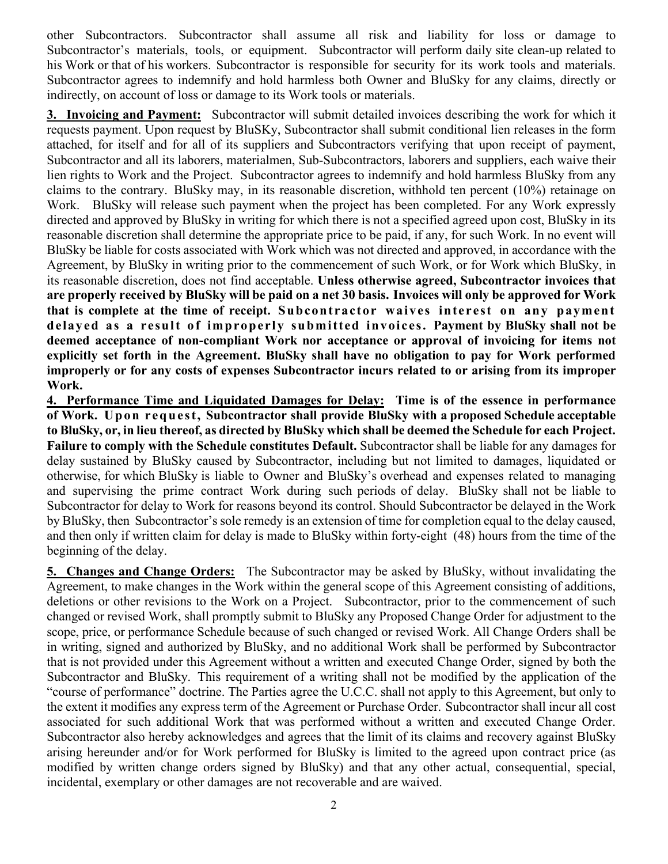other Subcontractors. Subcontractor shall assume all risk and liability for loss or damage to Subcontractor's materials, tools, or equipment. Subcontractor will perform daily site clean-up related to his Work or that of his workers. Subcontractor is responsible for security for its work tools and materials. Subcontractor agrees to indemnify and hold harmless both Owner and BluSky for any claims, directly or indirectly, on account of loss or damage to its Work tools or materials.

**3. Invoicing and Payment:** Subcontractor will submit detailed invoices describing the work for which it requests payment. Upon request by BluSKy, Subcontractor shall submit conditional lien releases in the form attached, for itself and for all of its suppliers and Subcontractors verifying that upon receipt of payment, Subcontractor and all its laborers, materialmen, Sub-Subcontractors, laborers and suppliers, each waive their lien rights to Work and the Project. Subcontractor agrees to indemnify and hold harmless BluSky from any claims to the contrary. BluSky may, in its reasonable discretion, withhold ten percent (10%) retainage on Work. BluSky will release such payment when the project has been completed. For any Work expressly directed and approved by BluSky in writing for which there is not a specified agreed upon cost, BluSky in its reasonable discretion shall determine the appropriate price to be paid, if any, for such Work. In no event will BluSky be liable for costs associated with Work which was not directed and approved, in accordance with the Agreement, by BluSky in writing prior to the commencement of such Work, or for Work which BluSky, in its reasonable discretion, does not find acceptable. **Unless otherwise agreed, Subcontractor invoices that are properly received by BluSky will be paid on a net 30 basis. Invoices will only be approved for Work that is complete at the time of receipt. Subcontractor waives interest on any payment delayed as a result of improperly submitted invoices. Payment by BluSky shall not be deemed acceptance of non-compliant Work nor acceptance or approval of invoicing for items not explicitly set forth in the Agreement. BluSky shall have no obligation to pay for Work performed improperly or for any costs of expenses Subcontractor incurs related to or arising from its improper Work.** 

**4. Performance Time and Liquidated Damages for Delay: Time is of the essence in performance of Work. Upon request, Subcontractor shall provide BluSky with a proposed Schedule acceptable to BluSky, or, in lieu thereof, as directed by BluSky which shall be deemed the Schedule for each Project. Failure to comply with the Schedule constitutes Default.** Subcontractor shall be liable for any damages for delay sustained by BluSky caused by Subcontractor, including but not limited to damages, liquidated or otherwise, for which BluSky is liable to Owner and BluSky's overhead and expenses related to managing and supervising the prime contract Work during such periods of delay. BluSky shall not be liable to Subcontractor for delay to Work for reasons beyond its control. Should Subcontractor be delayed in the Work by BluSky, then Subcontractor's sole remedy is an extension of time for completion equal to the delay caused, and then only if written claim for delay is made to BluSky within forty-eight (48) hours from the time of the beginning of the delay.

**5. Changes and Change Orders:** The Subcontractor may be asked by BluSky, without invalidating the Agreement, to make changes in the Work within the general scope of this Agreement consisting of additions, deletions or other revisions to the Work on a Project. Subcontractor, prior to the commencement of such changed or revised Work, shall promptly submit to BluSky any Proposed Change Order for adjustment to the scope, price, or performance Schedule because of such changed or revised Work. All Change Orders shall be in writing, signed and authorized by BluSky, and no additional Work shall be performed by Subcontractor that is not provided under this Agreement without a written and executed Change Order, signed by both the Subcontractor and BluSky. This requirement of a writing shall not be modified by the application of the "course of performance" doctrine. The Parties agree the U.C.C. shall not apply to this Agreement, but only to the extent it modifies any express term of the Agreement or Purchase Order. Subcontractor shall incur all cost associated for such additional Work that was performed without a written and executed Change Order. Subcontractor also hereby acknowledges and agrees that the limit of its claims and recovery against BluSky arising hereunder and/or for Work performed for BluSky is limited to the agreed upon contract price (as modified by written change orders signed by BluSky) and that any other actual, consequential, special, incidental, exemplary or other damages are not recoverable and are waived.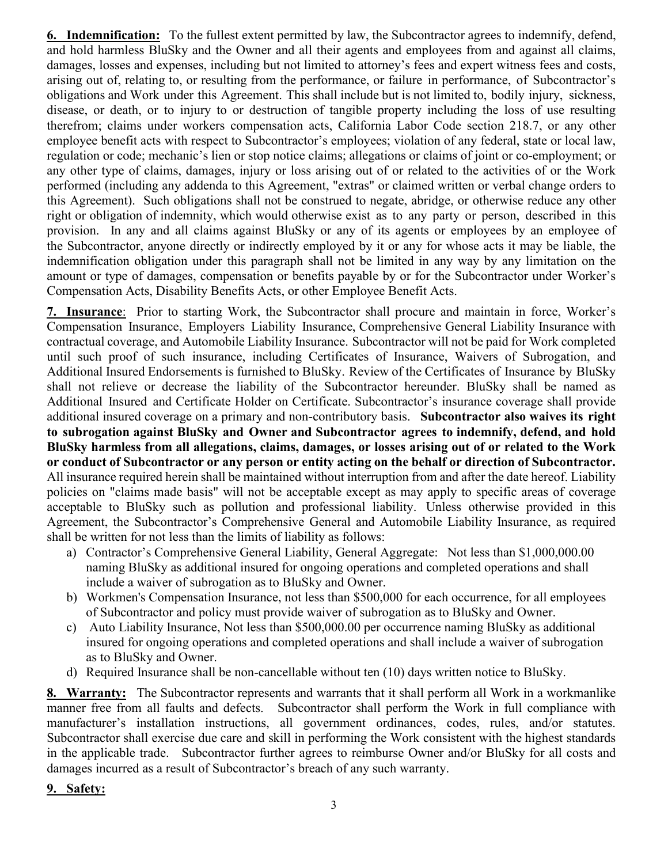**6. Indemnification:** To the fullest extent permitted by law, the Subcontractor agrees to indemnify, defend, and hold harmless BluSky and the Owner and all their agents and employees from and against all claims, damages, losses and expenses, including but not limited to attorney's fees and expert witness fees and costs, arising out of, relating to, or resulting from the performance, or failure in performance, of Subcontractor's obligations and Work under this Agreement. This shall include but is not limited to, bodily injury, sickness, disease, or death, or to injury to or destruction of tangible property including the loss of use resulting therefrom; claims under workers compensation acts, California Labor Code section 218.7, or any other employee benefit acts with respect to Subcontractor's employees; violation of any federal, state or local law, regulation or code; mechanic's lien or stop notice claims; allegations or claims of joint or co-employment; or any other type of claims, damages, injury or loss arising out of or related to the activities of or the Work performed (including any addenda to this Agreement, "extras" or claimed written or verbal change orders to this Agreement). Such obligations shall not be construed to negate, abridge, or otherwise reduce any other right or obligation of indemnity, which would otherwise exist as to any party or person, described in this provision. In any and all claims against BluSky or any of its agents or employees by an employee of the Subcontractor, anyone directly or indirectly employed by it or any for whose acts it may be liable, the indemnification obligation under this paragraph shall not be limited in any way by any limitation on the amount or type of damages, compensation or benefits payable by or for the Subcontractor under Worker's Compensation Acts, Disability Benefits Acts, or other Employee Benefit Acts.

**7. Insurance**: Prior to starting Work, the Subcontractor shall procure and maintain in force, Worker's Compensation Insurance, Employers Liability Insurance, Comprehensive General Liability Insurance with contractual coverage, and Automobile Liability Insurance. Subcontractor will not be paid for Work completed until such proof of such insurance, including Certificates of Insurance, Waivers of Subrogation, and Additional Insured Endorsements is furnished to BluSky. Review of the Certificates of Insurance by BluSky shall not relieve or decrease the liability of the Subcontractor hereunder. BluSky shall be named as Additional Insured and Certificate Holder on Certificate. Subcontractor's insurance coverage shall provide additional insured coverage on a primary and non-contributory basis. **Subcontractor also waives its right to subrogation against BluSky and Owner and Subcontractor agrees to indemnify, defend, and hold BluSky harmless from all allegations, claims, damages, or losses arising out of or related to the Work or conduct of Subcontractor or any person or entity acting on the behalf or direction of Subcontractor.**  All insurance required herein shall be maintained without interruption from and after the date hereof. Liability policies on "claims made basis" will not be acceptable except as may apply to specific areas of coverage acceptable to BluSky such as pollution and professional liability. Unless otherwise provided in this Agreement, the Subcontractor's Comprehensive General and Automobile Liability Insurance, as required shall be written for not less than the limits of liability as follows:

- a) Contractor's Comprehensive General Liability, General Aggregate: Not less than \$1,000,000.00 naming BluSky as additional insured for ongoing operations and completed operations and shall include a waiver of subrogation as to BluSky and Owner.
- b) Workmen's Compensation Insurance, not less than \$500,000 for each occurrence, for all employees of Subcontractor and policy must provide waiver of subrogation as to BluSky and Owner.
- c) Auto Liability Insurance, Not less than \$500,000.00 per occurrence naming BluSky as additional insured for ongoing operations and completed operations and shall include a waiver of subrogation as to BluSky and Owner.
- d) Required Insurance shall be non-cancellable without ten (10) days written notice to BluSky.

**8. Warranty:** The Subcontractor represents and warrants that it shall perform all Work in a workmanlike manner free from all faults and defects. Subcontractor shall perform the Work in full compliance with manufacturer's installation instructions, all government ordinances, codes, rules, and/or statutes. Subcontractor shall exercise due care and skill in performing the Work consistent with the highest standards in the applicable trade. Subcontractor further agrees to reimburse Owner and/or BluSky for all costs and damages incurred as a result of Subcontractor's breach of any such warranty.

## **9. Safety:**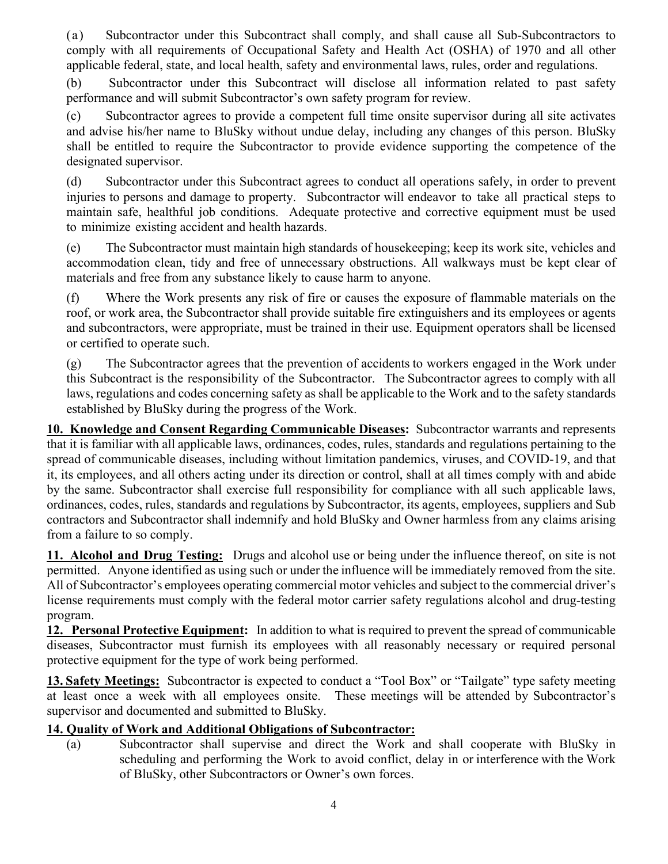(a) Subcontractor under this Subcontract shall comply, and shall cause all Sub-Subcontractors to comply with all requirements of Occupational Safety and Health Act (OSHA) of 1970 and all other applicable federal, state, and local health, safety and environmental laws, rules, order and regulations.

(b) Subcontractor under this Subcontract will disclose all information related to past safety performance and will submit Subcontractor's own safety program for review.

(c) Subcontractor agrees to provide a competent full time onsite supervisor during all site activates and advise his/her name to BluSky without undue delay, including any changes of this person. BluSky shall be entitled to require the Subcontractor to provide evidence supporting the competence of the designated supervisor.

(d) Subcontractor under this Subcontract agrees to conduct all operations safely, in order to prevent injuries to persons and damage to property. Subcontractor will endeavor to take all practical steps to maintain safe, healthful job conditions. Adequate protective and corrective equipment must be used to minimize existing accident and health hazards.

(e) The Subcontractor must maintain high standards of housekeeping; keep its work site, vehicles and accommodation clean, tidy and free of unnecessary obstructions. All walkways must be kept clear of materials and free from any substance likely to cause harm to anyone.

(f) Where the Work presents any risk of fire or causes the exposure of flammable materials on the roof, or work area, the Subcontractor shall provide suitable fire extinguishers and its employees or agents and subcontractors, were appropriate, must be trained in their use. Equipment operators shall be licensed or certified to operate such.

(g) The Subcontractor agrees that the prevention of accidents to workers engaged in the Work under this Subcontract is the responsibility of the Subcontractor. The Subcontractor agrees to comply with all laws, regulations and codes concerning safety as shall be applicable to the Work and to the safety standards established by BluSky during the progress of the Work.

**10. Knowledge and Consent Regarding Communicable Diseases:** Subcontractor warrants and represents that it is familiar with all applicable laws, ordinances, codes, rules, standards and regulations pertaining to the spread of communicable diseases, including without limitation pandemics, viruses, and COVID-19, and that it, its employees, and all others acting under its direction or control, shall at all times comply with and abide by the same. Subcontractor shall exercise full responsibility for compliance with all such applicable laws, ordinances, codes, rules, standards and regulations by Subcontractor, its agents, employees, suppliers and Sub contractors and Subcontractor shall indemnify and hold BluSky and Owner harmless from any claims arising from a failure to so comply.

**11. Alcohol and Drug Testing:** Drugs and alcohol use or being under the influence thereof, on site is not permitted. Anyone identified as using such or under the influence will be immediately removed from the site. All of Subcontractor's employees operating commercial motor vehicles and subject to the commercial driver's license requirements must comply with the federal motor carrier safety regulations alcohol and drug-testing program.

**12. Personal Protective Equipment:** In addition to what is required to prevent the spread of communicable diseases, Subcontractor must furnish its employees with all reasonably necessary or required personal protective equipment for the type of work being performed.

**13. Safety Meetings:** Subcontractor is expected to conduct a "Tool Box" or "Tailgate" type safety meeting at least once a week with all employees onsite. These meetings will be attended by Subcontractor's supervisor and documented and submitted to BluSky.

## **14. Quality of Work and Additional Obligations of Subcontractor:**

(a) Subcontractor shall supervise and direct the Work and shall cooperate with BluSky in scheduling and performing the Work to avoid conflict, delay in or interference with the Work of BluSky, other Subcontractors or Owner's own forces.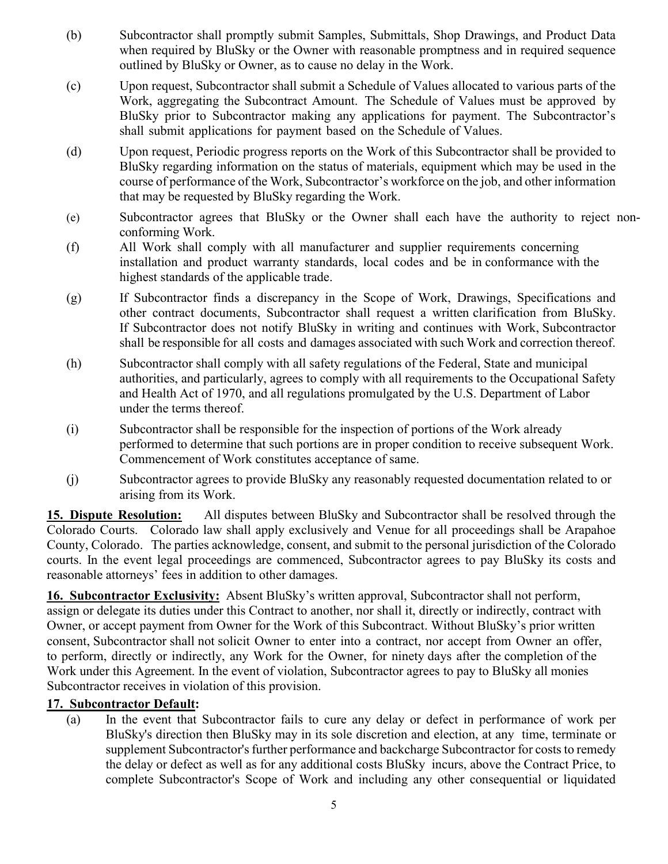- (b) Subcontractor shall promptly submit Samples, Submittals, Shop Drawings, and Product Data when required by BluSky or the Owner with reasonable promptness and in required sequence outlined by BluSky or Owner, as to cause no delay in the Work.
- (c) Upon request, Subcontractor shall submit a Schedule of Values allocated to various parts of the Work, aggregating the Subcontract Amount. The Schedule of Values must be approved by BluSky prior to Subcontractor making any applications for payment. The Subcontractor's shall submit applications for payment based on the Schedule of Values.
- (d) Upon request, Periodic progress reports on the Work of this Subcontractor shall be provided to BluSky regarding information on the status of materials, equipment which may be used in the course of performance of the Work, Subcontractor's workforce on the job, and other information that may be requested by BluSky regarding the Work.
- (e) Subcontractor agrees that BluSky or the Owner shall each have the authority to reject nonconforming Work.
- (f) All Work shall comply with all manufacturer and supplier requirements concerning installation and product warranty standards, local codes and be in conformance with the highest standards of the applicable trade.
- (g) If Subcontractor finds a discrepancy in the Scope of Work, Drawings, Specifications and other contract documents, Subcontractor shall request a written clarification from BluSky. If Subcontractor does not notify BluSky in writing and continues with Work, Subcontractor shall be responsible for all costs and damages associated with such Work and correction thereof.
- (h) Subcontractor shall comply with all safety regulations of the Federal, State and municipal authorities, and particularly, agrees to comply with all requirements to the Occupational Safety and Health Act of 1970, and all regulations promulgated by the U.S. Department of Labor under the terms thereof.
- (i) Subcontractor shall be responsible for the inspection of portions of the Work already performed to determine that such portions are in proper condition to receive subsequent Work. Commencement of Work constitutes acceptance of same.
- (j) Subcontractor agrees to provide BluSky any reasonably requested documentation related to or arising from its Work.

**15. Dispute Resolution:** All disputes between BluSky and Subcontractor shall be resolved through the Colorado Courts. Colorado law shall apply exclusively and Venue for all proceedings shall be Arapahoe County, Colorado. The parties acknowledge, consent, and submit to the personal jurisdiction of the Colorado courts. In the event legal proceedings are commenced, Subcontractor agrees to pay BluSky its costs and reasonable attorneys' fees in addition to other damages.

**16. Subcontractor Exclusivity:** Absent BluSky's written approval, Subcontractor shall not perform, assign or delegate its duties under this Contract to another, nor shall it, directly or indirectly, contract with Owner, or accept payment from Owner for the Work of this Subcontract. Without BluSky's prior written consent, Subcontractor shall not solicit Owner to enter into a contract, nor accept from Owner an offer, to perform, directly or indirectly, any Work for the Owner, for ninety days after the completion of the Work under this Agreement. In the event of violation, Subcontractor agrees to pay to BluSky all monies Subcontractor receives in violation of this provision.

## **17. Subcontractor Default:**

(a) In the event that Subcontractor fails to cure any delay or defect in performance of work per BluSky's direction then BluSky may in its sole discretion and election, at any time, terminate or supplement Subcontractor's further performance and backcharge Subcontractor for costs to remedy the delay or defect as well as for any additional costs BluSky incurs, above the Contract Price, to complete Subcontractor's Scope of Work and including any other consequential or liquidated